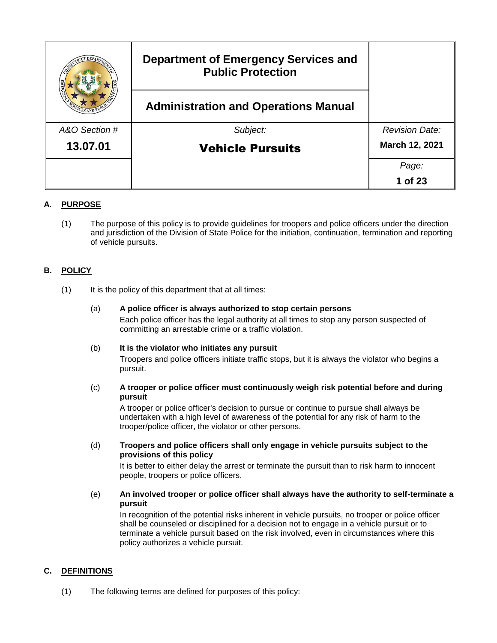|               | <b>Department of Emergency Services and</b><br><b>Public Protection</b> |                       |
|---------------|-------------------------------------------------------------------------|-----------------------|
|               | <b>Administration and Operations Manual</b>                             |                       |
| A&O Section # | Subject:                                                                | <b>Revision Date:</b> |
| 13.07.01      | <b>Vehicle Pursuits</b>                                                 | March 12, 2021        |
|               |                                                                         | Page:                 |
|               |                                                                         | 1 of 23               |

# **A. PURPOSE**

(1) The purpose of this policy is to provide guidelines for troopers and police officers under the direction and jurisdiction of the Division of State Police for the initiation, continuation, termination and reporting of vehicle pursuits.

# **B. POLICY**

- (1) It is the policy of this department that at all times:
	- (a) **A police officer is always authorized to stop certain persons** Each police officer has the legal authority at all times to stop any person suspected of committing an arrestable crime or a traffic violation.

## (b) **It is the violator who initiates any pursuit**

Troopers and police officers initiate traffic stops, but it is always the violator who begins a pursuit.

(c) **A trooper or police officer must continuously weigh risk potential before and during pursuit**

A trooper or police officer's decision to pursue or continue to pursue shall always be undertaken with a high level of awareness of the potential for any risk of harm to the trooper/police officer, the violator or other persons.

(d) **Troopers and police officers shall only engage in vehicle pursuits subject to the provisions of this policy**

It is better to either delay the arrest or terminate the pursuit than to risk harm to innocent people, troopers or police officers.

(e) **An involved trooper or police officer shall always have the authority to self-terminate a pursuit** 

In recognition of the potential risks inherent in vehicle pursuits, no trooper or police officer shall be counseled or disciplined for a decision not to engage in a vehicle pursuit or to terminate a vehicle pursuit based on the risk involved, even in circumstances where this policy authorizes a vehicle pursuit.

## **C. DEFINITIONS**

(1) The following terms are defined for purposes of this policy: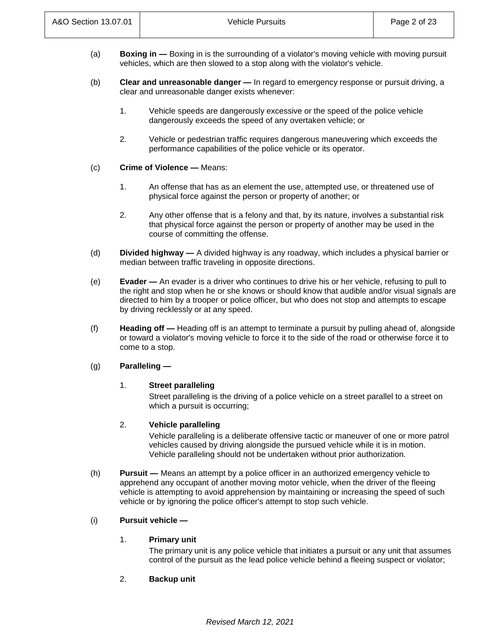- (a) **Boxing in —** Boxing in is the surrounding of a violator's moving vehicle with moving pursuit vehicles, which are then slowed to a stop along with the violator's vehicle.
- (b) **Clear and unreasonable danger —** In regard to emergency response or pursuit driving, a clear and unreasonable danger exists whenever:
	- 1. Vehicle speeds are dangerously excessive or the speed of the police vehicle dangerously exceeds the speed of any overtaken vehicle; or
	- 2. Vehicle or pedestrian traffic requires dangerous maneuvering which exceeds the performance capabilities of the police vehicle or its operator.
- (c) **Crime of Violence —** Means:
	- 1. An offense that has as an element the use, attempted use, or threatened use of physical force against the person or property of another; or
	- 2. Any other offense that is a felony and that, by its nature, involves a substantial risk that physical force against the person or property of another may be used in the course of committing the offense.
- (d) **Divided highway —** A divided highway is any roadway, which includes a physical barrier or median between traffic traveling in opposite directions.
- (e) **Evader —** An evader is a driver who continues to drive his or her vehicle, refusing to pull to the right and stop when he or she knows or should know that audible and/or visual signals are directed to him by a trooper or police officer, but who does not stop and attempts to escape by driving recklessly or at any speed.
- (f) **Heading off —** Heading off is an attempt to terminate a pursuit by pulling ahead of, alongside or toward a violator's moving vehicle to force it to the side of the road or otherwise force it to come to a stop.

# (g) **Paralleling —**

## 1. **Street paralleling**

Street paralleling is the driving of a police vehicle on a street parallel to a street on which a pursuit is occurring;

## 2. **Vehicle paralleling**

Vehicle paralleling is a deliberate offensive tactic or maneuver of one or more patrol vehicles caused by driving alongside the pursued vehicle while it is in motion. Vehicle paralleling should not be undertaken without prior authorization.

(h) **Pursuit —** Means an attempt by a police officer in an authorized emergency vehicle to apprehend any occupant of another moving motor vehicle, when the driver of the fleeing vehicle is attempting to avoid apprehension by maintaining or increasing the speed of such vehicle or by ignoring the police officer's attempt to stop such vehicle.

# (i) **Pursuit vehicle —**

## 1. **Primary unit**

The primary unit is any police vehicle that initiates a pursuit or any unit that assumes control of the pursuit as the lead police vehicle behind a fleeing suspect or violator;

2. **Backup unit**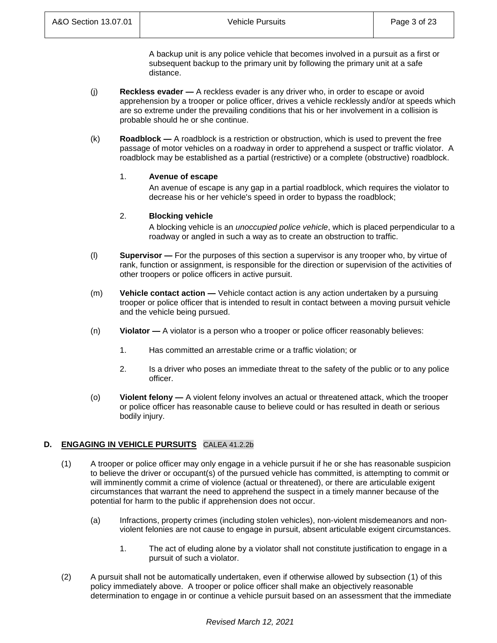A backup unit is any police vehicle that becomes involved in a pursuit as a first or subsequent backup to the primary unit by following the primary unit at a safe distance.

- (j) **Reckless evader —** A reckless evader is any driver who, in order to escape or avoid apprehension by a trooper or police officer, drives a vehicle recklessly and/or at speeds which are so extreme under the prevailing conditions that his or her involvement in a collision is probable should he or she continue.
- (k) **Roadblock —** A roadblock is a restriction or obstruction, which is used to prevent the free passage of motor vehicles on a roadway in order to apprehend a suspect or traffic violator. A roadblock may be established as a partial (restrictive) or a complete (obstructive) roadblock.

## 1. **Avenue of escape**

An avenue of escape is any gap in a partial roadblock, which requires the violator to decrease his or her vehicle's speed in order to bypass the roadblock;

## 2. **Blocking vehicle**

A blocking vehicle is an *unoccupied police vehicle*, which is placed perpendicular to a roadway or angled in such a way as to create an obstruction to traffic.

- (l) **Supervisor —** For the purposes of this section a supervisor is any trooper who, by virtue of rank, function or assignment, is responsible for the direction or supervision of the activities of other troopers or police officers in active pursuit.
- (m) **Vehicle contact action —** Vehicle contact action is any action undertaken by a pursuing trooper or police officer that is intended to result in contact between a moving pursuit vehicle and the vehicle being pursued.
- (n) **Violator —** A violator is a person who a trooper or police officer reasonably believes:
	- 1. Has committed an arrestable crime or a traffic violation; or
	- 2. Is a driver who poses an immediate threat to the safety of the public or to any police officer.
- (o) **Violent felony —** A violent felony involves an actual or threatened attack, which the trooper or police officer has reasonable cause to believe could or has resulted in death or serious bodily injury.

# **D. ENGAGING IN VEHICLE PURSUITS** CALEA 41.2.2b

- (1) A trooper or police officer may only engage in a vehicle pursuit if he or she has reasonable suspicion to believe the driver or occupant(s) of the pursued vehicle has committed, is attempting to commit or will imminently commit a crime of violence (actual or threatened), or there are articulable exigent circumstances that warrant the need to apprehend the suspect in a timely manner because of the potential for harm to the public if apprehension does not occur.
	- (a) Infractions, property crimes (including stolen vehicles), non-violent misdemeanors and nonviolent felonies are not cause to engage in pursuit, absent articulable exigent circumstances.
		- 1. The act of eluding alone by a violator shall not constitute justification to engage in a pursuit of such a violator.
- (2) A pursuit shall not be automatically undertaken, even if otherwise allowed by subsection (1) of this policy immediately above. A trooper or police officer shall make an objectively reasonable determination to engage in or continue a vehicle pursuit based on an assessment that the immediate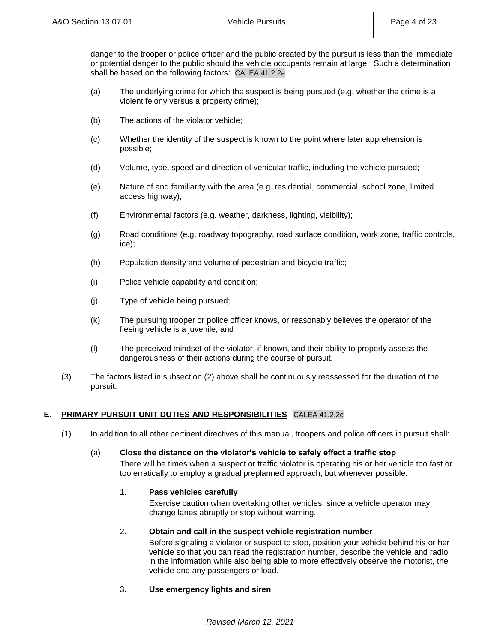danger to the trooper or police officer and the public created by the pursuit is less than the immediate or potential danger to the public should the vehicle occupants remain at large. Such a determination shall be based on the following factors: CALEA 41.2.2a

- (a) The underlying crime for which the suspect is being pursued (e.g. whether the crime is a violent felony versus a property crime);
- (b) The actions of the violator vehicle;
- (c) Whether the identity of the suspect is known to the point where later apprehension is possible;
- (d) Volume, type, speed and direction of vehicular traffic, including the vehicle pursued;
- (e) Nature of and familiarity with the area (e.g. residential, commercial, school zone, limited access highway);
- (f) Environmental factors (e.g. weather, darkness, lighting, visibility);
- (g) Road conditions (e.g. roadway topography, road surface condition, work zone, traffic controls, ice);
- (h) Population density and volume of pedestrian and bicycle traffic;
- (i) Police vehicle capability and condition;
- (j) Type of vehicle being pursued;
- (k) The pursuing trooper or police officer knows, or reasonably believes the operator of the fleeing vehicle is a juvenile; and
- (l) The perceived mindset of the violator, if known, and their ability to properly assess the dangerousness of their actions during the course of pursuit.
- (3) The factors listed in subsection (2) above shall be continuously reassessed for the duration of the pursuit.

# **E. PRIMARY PURSUIT UNIT DUTIES AND RESPONSIBILITIES** CALEA 41.2.2c

(1) In addition to all other pertinent directives of this manual, troopers and police officers in pursuit shall:

## (a) **Close the distance on the violator's vehicle to safely effect a traffic stop**

There will be times when a suspect or traffic violator is operating his or her vehicle too fast or too erratically to employ a gradual preplanned approach, but whenever possible:

## 1. **Pass vehicles carefully**

Exercise caution when overtaking other vehicles, since a vehicle operator may change lanes abruptly or stop without warning.

# 2. **Obtain and call in the suspect vehicle registration number**

Before signaling a violator or suspect to stop, position your vehicle behind his or her vehicle so that you can read the registration number, describe the vehicle and radio in the information while also being able to more effectively observe the motorist, the vehicle and any passengers or load.

## 3. **Use emergency lights and siren**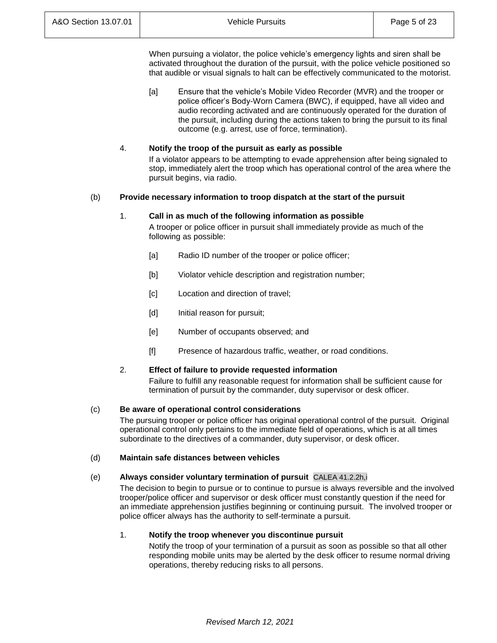When pursuing a violator, the police vehicle's emergency lights and siren shall be activated throughout the duration of the pursuit, with the police vehicle positioned so that audible or visual signals to halt can be effectively communicated to the motorist.

[a] Ensure that the vehicle's Mobile Video Recorder (MVR) and the trooper or police officer's Body-Worn Camera (BWC), if equipped, have all video and audio recording activated and are continuously operated for the duration of the pursuit, including during the actions taken to bring the pursuit to its final outcome (e.g. arrest, use of force, termination).

## 4. **Notify the troop of the pursuit as early as possible**

If a violator appears to be attempting to evade apprehension after being signaled to stop, immediately alert the troop which has operational control of the area where the pursuit begins, via radio.

## (b) **Provide necessary information to troop dispatch at the start of the pursuit**

## 1. **Call in as much of the following information as possible**

A trooper or police officer in pursuit shall immediately provide as much of the following as possible:

- [a] Radio ID number of the trooper or police officer;
- [b] Violator vehicle description and registration number;
- [c] Location and direction of travel;
- [d] Initial reason for pursuit;
- [e] Number of occupants observed; and
- [f] Presence of hazardous traffic, weather, or road conditions.

## 2. **Effect of failure to provide requested information**

Failure to fulfill any reasonable request for information shall be sufficient cause for termination of pursuit by the commander, duty supervisor or desk officer.

## (c) **Be aware of operational control considerations**

The pursuing trooper or police officer has original operational control of the pursuit. Original operational control only pertains to the immediate field of operations, which is at all times subordinate to the directives of a commander, duty supervisor, or desk officer.

## (d) **Maintain safe distances between vehicles**

## (e) **Always consider voluntary termination of pursuit** CALEA 41.2.2h,i

The decision to begin to pursue or to continue to pursue is always reversible and the involved trooper/police officer and supervisor or desk officer must constantly question if the need for an immediate apprehension justifies beginning or continuing pursuit. The involved trooper or police officer always has the authority to self-terminate a pursuit.

## 1. **Notify the troop whenever you discontinue pursuit**

Notify the troop of your termination of a pursuit as soon as possible so that all other responding mobile units may be alerted by the desk officer to resume normal driving operations, thereby reducing risks to all persons.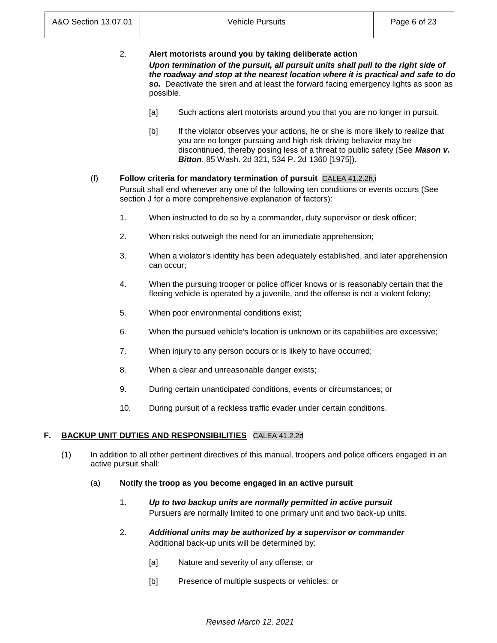| 2. | Alert motorists around you by taking deliberate action                                                                                                                  |
|----|-------------------------------------------------------------------------------------------------------------------------------------------------------------------------|
|    | Upon termination of the pursuit, all pursuit units shall pull to the right side of<br>the roadway and stop at the nearest location where it is practical and safe to do |
|    | so. Deactivate the siren and at least the forward facing emergency lights as soon as<br>possible.                                                                       |

- [a] Such actions alert motorists around you that you are no longer in pursuit.
- [b] If the violator observes your actions, he or she is more likely to realize that you are no longer pursuing and high risk driving behavior may be discontinued, thereby posing less of a threat to public safety (See *Mason v. Bitton*, 85 Wash. 2d 321, 534 P. 2d 1360 [1975]).

# (f) **Follow criteria for mandatory termination of pursuit** CALEA 41.2.2h,i

Pursuit shall end whenever any one of the following ten conditions or events occurs (See section J for a more comprehensive explanation of factors):

- 1. When instructed to do so by a commander, duty supervisor or desk officer;
- 2. When risks outweigh the need for an immediate apprehension;
- 3. When a violator's identity has been adequately established, and later apprehension can occur;
- 4. When the pursuing trooper or police officer knows or is reasonably certain that the fleeing vehicle is operated by a juvenile, and the offense is not a violent felony;
- 5. When poor environmental conditions exist;
- 6. When the pursued vehicle's location is unknown or its capabilities are excessive;
- 7. When injury to any person occurs or is likely to have occurred;
- 8. When a clear and unreasonable danger exists;
- 9. During certain unanticipated conditions, events or circumstances; or
- 10. During pursuit of a reckless traffic evader under certain conditions.

# **F. BACKUP UNIT DUTIES AND RESPONSIBILITIES** CALEA 41.2.2d

- (1) In addition to all other pertinent directives of this manual, troopers and police officers engaged in an active pursuit shall:
	- (a) **Notify the troop as you become engaged in an active pursuit**
		- 1. *Up to two backup units are normally permitted in active pursuit* Pursuers are normally limited to one primary unit and two back-up units.
		- 2. *Additional units may be authorized by a supervisor or commander* Additional back-up units will be determined by:
			- [a] Nature and severity of any offense; or
			- [b] Presence of multiple suspects or vehicles; or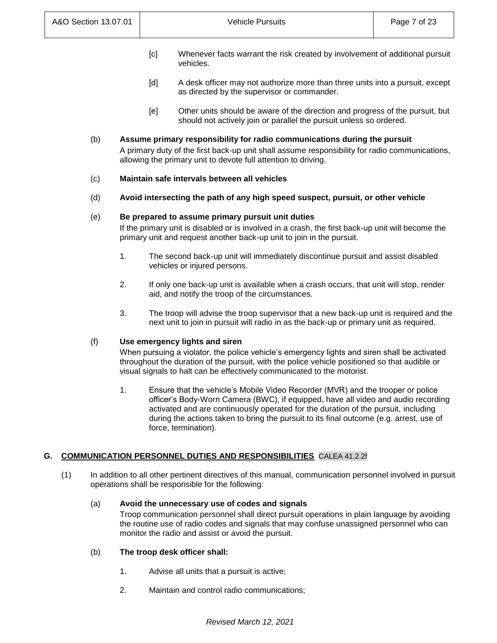- [c] Whenever facts warrant the risk created by involvement of additional pursuit vehicles.
- [d] A desk officer may not authorize more than three units into a pursuit, except as directed by the supervisor or commander.
- [e] Other units should be aware of the direction and progress of the pursuit, but should not actively join or parallel the pursuit unless so ordered.

# (b) **Assume primary responsibility for radio communications during the pursuit**

A primary duty of the first back-up unit shall assume responsibility for radio communications, allowing the primary unit to devote full attention to driving.

## (c) **Maintain safe intervals between all vehicles**

(d) **Avoid intersecting the path of any high speed suspect, pursuit, or other vehicle**

## (e) **Be prepared to assume primary pursuit unit duties**

If the primary unit is disabled or is involved in a crash, the first back-up unit will become the primary unit and request another back-up unit to join in the pursuit.

- 1. The second back-up unit will immediately discontinue pursuit and assist disabled vehicles or injured persons.
- 2. If only one back-up unit is available when a crash occurs, that unit will stop, render aid, and notify the troop of the circumstances.
- 3. The troop will advise the troop supervisor that a new back-up unit is required and the next unit to join in pursuit will radio in as the back-up or primary unit as required.

## (f) **Use emergency lights and siren**

When pursuing a violator, the police vehicle's emergency lights and siren shall be activated throughout the duration of the pursuit, with the police vehicle positioned so that audible or visual signals to halt can be effectively communicated to the motorist.

1. Ensure that the vehicle's Mobile Video Recorder (MVR) and the trooper or police officer's Body-Worn Camera (BWC), if equipped, have all video and audio recording activated and are continuously operated for the duration of the pursuit, including during the actions taken to bring the pursuit to its final outcome (e.g. arrest, use of force, termination).

# **G. COMMUNICATION PERSONNEL DUTIES AND RESPONSIBILITIES** CALEA 41.2.2f

(1) In addition to all other pertinent directives of this manual, communication personnel involved in pursuit operations shall be responsible for the following:

## (a) **Avoid the unnecessary use of codes and signals**

Troop communication personnel shall direct pursuit operations in plain language by avoiding the routine use of radio codes and signals that may confuse unassigned personnel who can monitor the radio and assist or avoid the pursuit.

## (b) **The troop desk officer shall:**

- 1. Advise all units that a pursuit is active;
- 2. Maintain and control radio communications;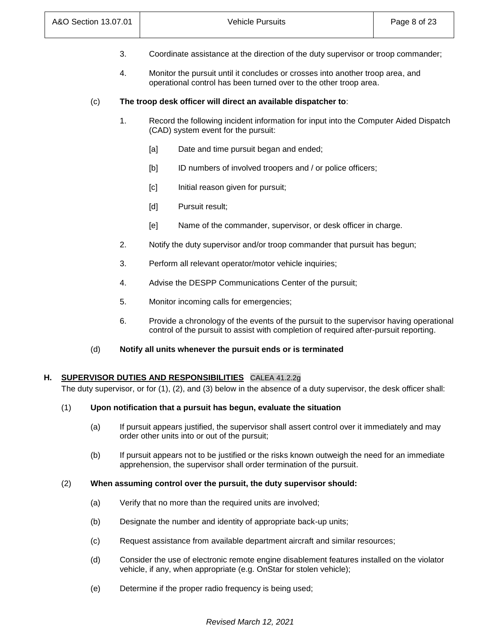- 3. Coordinate assistance at the direction of the duty supervisor or troop commander;
- 4. Monitor the pursuit until it concludes or crosses into another troop area, and operational control has been turned over to the other troop area.

## (c) **The troop desk officer will direct an available dispatcher to**:

- 1. Record the following incident information for input into the Computer Aided Dispatch (CAD) system event for the pursuit:
	- [a] Date and time pursuit began and ended;
	- [b] ID numbers of involved troopers and / or police officers;
	- [c] Initial reason given for pursuit;
	- [d] Pursuit result;
	- [e] Name of the commander, supervisor, or desk officer in charge.
- 2. Notify the duty supervisor and/or troop commander that pursuit has begun;
- 3. Perform all relevant operator/motor vehicle inquiries;
- 4. Advise the DESPP Communications Center of the pursuit;
- 5. Monitor incoming calls for emergencies;
- 6. Provide a chronology of the events of the pursuit to the supervisor having operational control of the pursuit to assist with completion of required after-pursuit reporting.
- (d) **Notify all units whenever the pursuit ends or is terminated**

# **H. SUPERVISOR DUTIES AND RESPONSIBILITIES** CALEA 41.2.2g

The duty supervisor, or for (1), (2), and (3) below in the absence of a duty supervisor, the desk officer shall:

#### (1) **Upon notification that a pursuit has begun, evaluate the situation**

- (a) If pursuit appears justified, the supervisor shall assert control over it immediately and may order other units into or out of the pursuit;
- (b) If pursuit appears not to be justified or the risks known outweigh the need for an immediate apprehension, the supervisor shall order termination of the pursuit.

#### (2) **When assuming control over the pursuit, the duty supervisor should:**

- (a) Verify that no more than the required units are involved;
- (b) Designate the number and identity of appropriate back-up units;
- (c) Request assistance from available department aircraft and similar resources;
- (d) Consider the use of electronic remote engine disablement features installed on the violator vehicle, if any, when appropriate (e.g. OnStar for stolen vehicle);
- (e) Determine if the proper radio frequency is being used;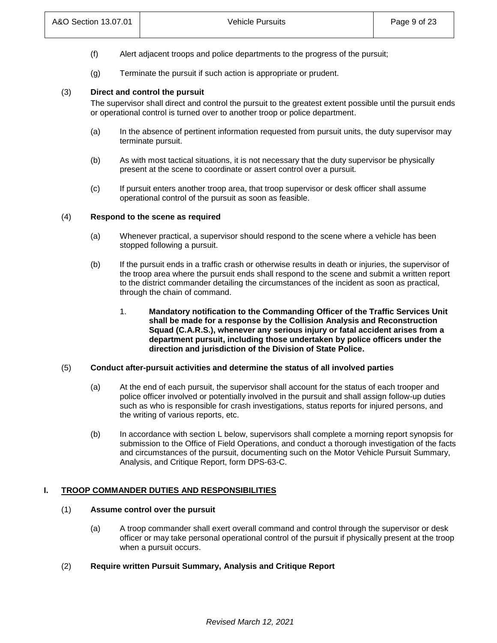- (f) Alert adjacent troops and police departments to the progress of the pursuit;
- (g) Terminate the pursuit if such action is appropriate or prudent.

## (3) **Direct and control the pursuit**

The supervisor shall direct and control the pursuit to the greatest extent possible until the pursuit ends or operational control is turned over to another troop or police department.

- (a) In the absence of pertinent information requested from pursuit units, the duty supervisor may terminate pursuit.
- (b) As with most tactical situations, it is not necessary that the duty supervisor be physically present at the scene to coordinate or assert control over a pursuit*.*
- (c) If pursuit enters another troop area, that troop supervisor or desk officer shall assume operational control of the pursuit as soon as feasible.

## (4) **Respond to the scene as required**

- (a) Whenever practical, a supervisor should respond to the scene where a vehicle has been stopped following a pursuit.
- (b) If the pursuit ends in a traffic crash or otherwise results in death or injuries, the supervisor of the troop area where the pursuit ends shall respond to the scene and submit a written report to the district commander detailing the circumstances of the incident as soon as practical, through the chain of command.
	- 1. **Mandatory notification to the Commanding Officer of the Traffic Services Unit shall be made for a response by the Collision Analysis and Reconstruction Squad (C.A.R.S.), whenever any serious injury or fatal accident arises from a department pursuit, including those undertaken by police officers under the direction and jurisdiction of the Division of State Police.**

## (5) **Conduct after-pursuit activities and determine the status of all involved parties**

- (a) At the end of each pursuit, the supervisor shall account for the status of each trooper and police officer involved or potentially involved in the pursuit and shall assign follow-up duties such as who is responsible for crash investigations, status reports for injured persons, and the writing of various reports, etc.
- (b) In accordance with section L below, supervisors shall complete a morning report synopsis for submission to the Office of Field Operations, and conduct a thorough investigation of the facts and circumstances of the pursuit, documenting such on the Motor Vehicle Pursuit Summary, Analysis, and Critique Report, form DPS-63-C.

## **I. TROOP COMMANDER DUTIES AND RESPONSIBILITIES**

# (1) **Assume control over the pursuit**

- (a) A troop commander shall exert overall command and control through the supervisor or desk officer or may take personal operational control of the pursuit if physically present at the troop when a pursuit occurs.
- (2) **Require written Pursuit Summary, Analysis and Critique Report**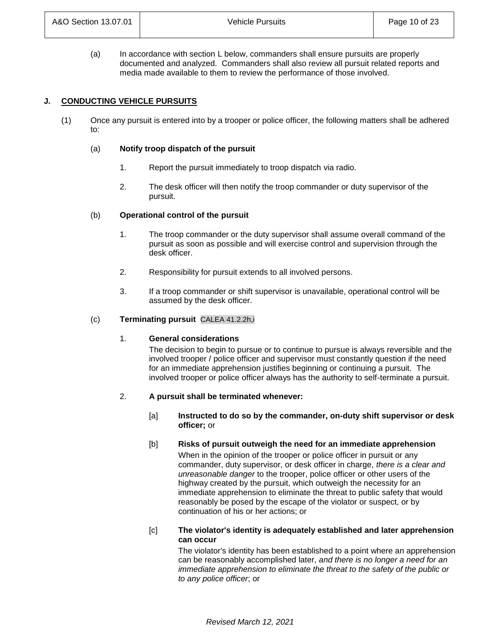(a) In accordance with section L below, commanders shall ensure pursuits are properly documented and analyzed. Commanders shall also review all pursuit related reports and media made available to them to review the performance of those involved.

## **J. CONDUCTING VEHICLE PURSUITS**

(1) Once any pursuit is entered into by a trooper or police officer, the following matters shall be adhered to:

#### (a) **Notify troop dispatch of the pursuit**

- 1. Report the pursuit immediately to troop dispatch via radio.
- 2. The desk officer will then notify the troop commander or duty supervisor of the pursuit.

#### (b) **Operational control of the pursuit**

- 1. The troop commander or the duty supervisor shall assume overall command of the pursuit as soon as possible and will exercise control and supervision through the desk officer.
- 2. Responsibility for pursuit extends to all involved persons.
- 3. If a troop commander or shift supervisor is unavailable, operational control will be assumed by the desk officer.

#### (c) **Terminating pursuit** CALEA 41.2.2h,i

#### 1. **General considerations**

The decision to begin to pursue or to continue to pursue is always reversible and the involved trooper / police officer and supervisor must constantly question if the need for an immediate apprehension justifies beginning or continuing a pursuit. The involved trooper or police officer always has the authority to self-terminate a pursuit.

#### 2. **A pursuit shall be terminated whenever:**

- [a] **Instructed to do so by the commander, on-duty shift supervisor or desk officer;** or
- [b] **Risks of pursuit outweigh the need for an immediate apprehension** When in the opinion of the trooper or police officer in pursuit or any commander, duty supervisor, or desk officer in charge, *there is a clear and unreasonable danger* to the trooper, police officer or other users of the highway created by the pursuit, which outweigh the necessity for an immediate apprehension to eliminate the threat to public safety that would reasonably be posed by the escape of the violator or suspect, or by continuation of his or her actions; or

## [c] **The violator's identity is adequately established and later apprehension can occur**

The violator's identity has been established to a point where an apprehension can be reasonably accomplished later, *and there is no longer a need for an immediate apprehension to eliminate the threat to the safety of the public or to any police officer*; or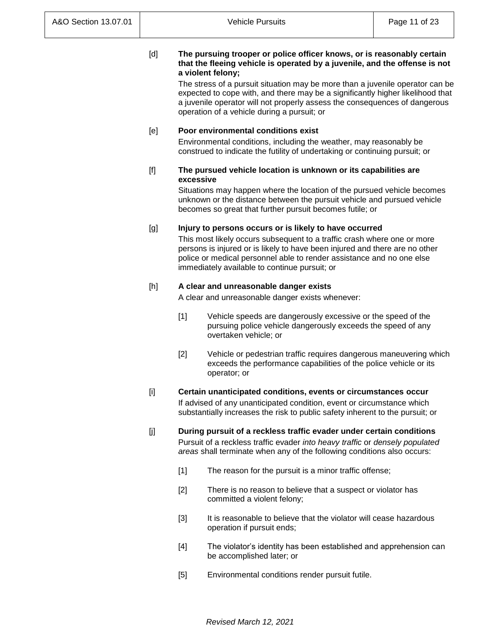## [d] **The pursuing trooper or police officer knows, or is reasonably certain that the fleeing vehicle is operated by a juvenile, and the offense is not a violent felony;**

The stress of a pursuit situation may be more than a juvenile operator can be expected to cope with, and there may be a significantly higher likelihood that a juvenile operator will not properly assess the consequences of dangerous operation of a vehicle during a pursuit; or

## [e] **Poor environmental conditions exist**

Environmental conditions, including the weather, may reasonably be construed to indicate the futility of undertaking or continuing pursuit; or

## [f] **The pursued vehicle location is unknown or its capabilities are excessive**

Situations may happen where the location of the pursued vehicle becomes unknown or the distance between the pursuit vehicle and pursued vehicle becomes so great that further pursuit becomes futile; or

## [g] **Injury to persons occurs or is likely to have occurred**

This most likely occurs subsequent to a traffic crash where one or more persons is injured or is likely to have been injured and there are no other police or medical personnel able to render assistance and no one else immediately available to continue pursuit; or

# [h] **A clear and unreasonable danger exists**

A clear and unreasonable danger exists whenever:

- [1] Vehicle speeds are dangerously excessive or the speed of the pursuing police vehicle dangerously exceeds the speed of any overtaken vehicle; or
- [2] Vehicle or pedestrian traffic requires dangerous maneuvering which exceeds the performance capabilities of the police vehicle or its operator; or

# [i] **Certain unanticipated conditions, events or circumstances occur** If advised of any unanticipated condition, event or circumstance which substantially increases the risk to public safety inherent to the pursuit; or

- [j] **During pursuit of a reckless traffic evader under certain conditions** Pursuit of a reckless traffic evader *into heavy traffic* or *densely populated areas* shall terminate when any of the following conditions also occurs:
	- [1] The reason for the pursuit is a minor traffic offense;
	- [2] There is no reason to believe that a suspect or violator has committed a violent felony;
	- [3] It is reasonable to believe that the violator will cease hazardous operation if pursuit ends;
	- [4] The violator's identity has been established and apprehension can be accomplished later; or
	- [5] Environmental conditions render pursuit futile.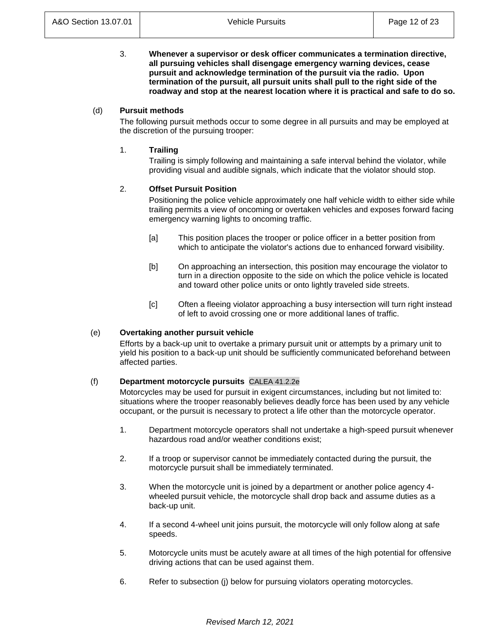3. **Whenever a supervisor or desk officer communicates a termination directive, all pursuing vehicles shall disengage emergency warning devices, cease pursuit and acknowledge termination of the pursuit via the radio. Upon termination of the pursuit, all pursuit units shall pull to the right side of the roadway and stop at the nearest location where it is practical and safe to do so.**

# (d) **Pursuit methods**

The following pursuit methods occur to some degree in all pursuits and may be employed at the discretion of the pursuing trooper:

## 1. **Trailing**

Trailing is simply following and maintaining a safe interval behind the violator, while providing visual and audible signals, which indicate that the violator should stop.

## 2. **Offset Pursuit Position**

Positioning the police vehicle approximately one half vehicle width to either side while trailing permits a view of oncoming or overtaken vehicles and exposes forward facing emergency warning lights to oncoming traffic.

- [a] This position places the trooper or police officer in a better position from which to anticipate the violator's actions due to enhanced forward visibility.
- [b] On approaching an intersection, this position may encourage the violator to turn in a direction opposite to the side on which the police vehicle is located and toward other police units or onto lightly traveled side streets.
- [c] Often a fleeing violator approaching a busy intersection will turn right instead of left to avoid crossing one or more additional lanes of traffic.

## (e) **Overtaking another pursuit vehicle**

Efforts by a back-up unit to overtake a primary pursuit unit or attempts by a primary unit to yield his position to a back-up unit should be sufficiently communicated beforehand between affected parties.

## (f) **Department motorcycle pursuits** CALEA 41.2.2e

Motorcycles may be used for pursuit in exigent circumstances, including but not limited to: situations where the trooper reasonably believes deadly force has been used by any vehicle occupant, or the pursuit is necessary to protect a life other than the motorcycle operator.

- 1. Department motorcycle operators shall not undertake a high-speed pursuit whenever hazardous road and/or weather conditions exist;
- 2. If a troop or supervisor cannot be immediately contacted during the pursuit, the motorcycle pursuit shall be immediately terminated.
- 3. When the motorcycle unit is joined by a department or another police agency 4 wheeled pursuit vehicle, the motorcycle shall drop back and assume duties as a back-up unit.
- 4. If a second 4-wheel unit joins pursuit, the motorcycle will only follow along at safe speeds.
- 5. Motorcycle units must be acutely aware at all times of the high potential for offensive driving actions that can be used against them.
- 6. Refer to subsection (j) below for pursuing violators operating motorcycles.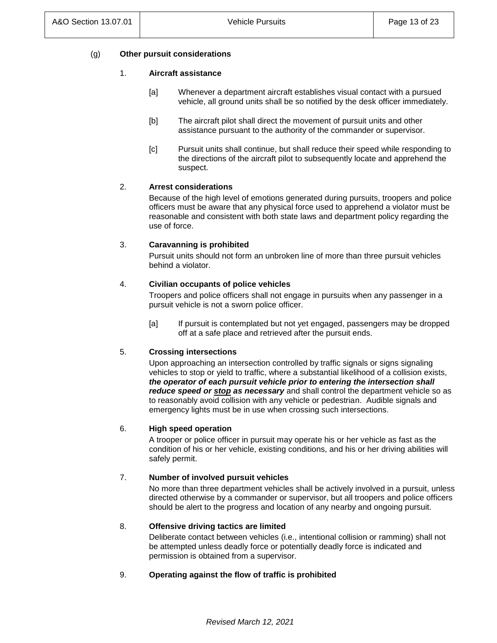# (g) **Other pursuit considerations**

## 1. **Aircraft assistance**

- [a] Whenever a department aircraft establishes visual contact with a pursued vehicle, all ground units shall be so notified by the desk officer immediately.
- [b] The aircraft pilot shall direct the movement of pursuit units and other assistance pursuant to the authority of the commander or supervisor.
- [c] Pursuit units shall continue, but shall reduce their speed while responding to the directions of the aircraft pilot to subsequently locate and apprehend the suspect.

## 2. **Arrest considerations**

Because of the high level of emotions generated during pursuits, troopers and police officers must be aware that any physical force used to apprehend a violator must be reasonable and consistent with both state laws and department policy regarding the use of force.

## 3. **Caravanning is prohibited**

Pursuit units should not form an unbroken line of more than three pursuit vehicles behind a violator.

## 4. **Civilian occupants of police vehicles**

Troopers and police officers shall not engage in pursuits when any passenger in a pursuit vehicle is not a sworn police officer.

[a] If pursuit is contemplated but not yet engaged, passengers may be dropped off at a safe place and retrieved after the pursuit ends.

## 5. **Crossing intersections**

Upon approaching an intersection controlled by traffic signals or signs signaling vehicles to stop or yield to traffic, where a substantial likelihood of a collision exists, *the operator of each pursuit vehicle prior to entering the intersection shall reduce speed or stop as necessary* and shall control the department vehicle so as to reasonably avoid collision with any vehicle or pedestrian. Audible signals and emergency lights must be in use when crossing such intersections.

## 6. **High speed operation**

A trooper or police officer in pursuit may operate his or her vehicle as fast as the condition of his or her vehicle, existing conditions, and his or her driving abilities will safely permit.

## 7. **Number of involved pursuit vehicles**

No more than three department vehicles shall be actively involved in a pursuit, unless directed otherwise by a commander or supervisor, but all troopers and police officers should be alert to the progress and location of any nearby and ongoing pursuit.

## 8. **Offensive driving tactics are limited**

Deliberate contact between vehicles (i.e., intentional collision or ramming) shall not be attempted unless deadly force or potentially deadly force is indicated and permission is obtained from a supervisor.

# 9. **Operating against the flow of traffic is prohibited**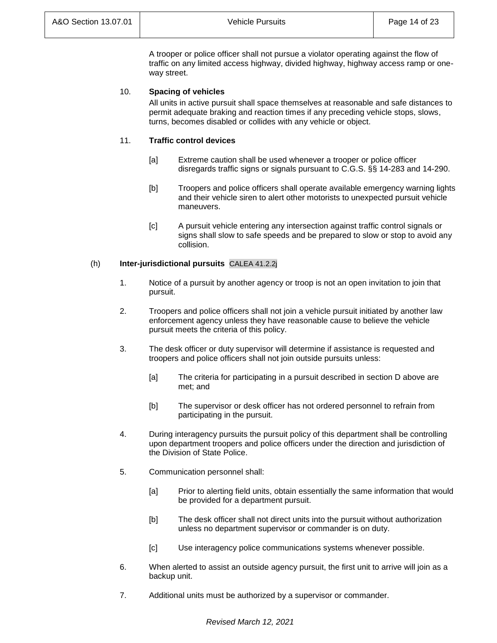A trooper or police officer shall not pursue a violator operating against the flow of traffic on any limited access highway, divided highway, highway access ramp or oneway street.

# 10. **Spacing of vehicles**

All units in active pursuit shall space themselves at reasonable and safe distances to permit adequate braking and reaction times if any preceding vehicle stops, slows, turns, becomes disabled or collides with any vehicle or object.

## 11. **Traffic control devices**

- [a] Extreme caution shall be used whenever a trooper or police officer disregards traffic signs or signals pursuant to C.G.S. §§ 14-283 and 14-290.
- [b] Troopers and police officers shall operate available emergency warning lights and their vehicle siren to alert other motorists to unexpected pursuit vehicle maneuvers.
- [c] A pursuit vehicle entering any intersection against traffic control signals or signs shall slow to safe speeds and be prepared to slow or stop to avoid any collision.

## (h) **Inter-jurisdictional pursuits** CALEA 41.2.2j

- 1. Notice of a pursuit by another agency or troop is not an open invitation to join that pursuit.
- 2. Troopers and police officers shall not join a vehicle pursuit initiated by another law enforcement agency unless they have reasonable cause to believe the vehicle pursuit meets the criteria of this policy.
- 3. The desk officer or duty supervisor will determine if assistance is requested and troopers and police officers shall not join outside pursuits unless:
	- [a] The criteria for participating in a pursuit described in section D above are met; and
	- [b] The supervisor or desk officer has not ordered personnel to refrain from participating in the pursuit.
- 4. During interagency pursuits the pursuit policy of this department shall be controlling upon department troopers and police officers under the direction and jurisdiction of the Division of State Police.
- 5. Communication personnel shall:
	- [a] Prior to alerting field units, obtain essentially the same information that would be provided for a department pursuit.
	- [b] The desk officer shall not direct units into the pursuit without authorization unless no department supervisor or commander is on duty.
	- [c] Use interagency police communications systems whenever possible.
- 6. When alerted to assist an outside agency pursuit, the first unit to arrive will join as a backup unit.
- 7. Additional units must be authorized by a supervisor or commander.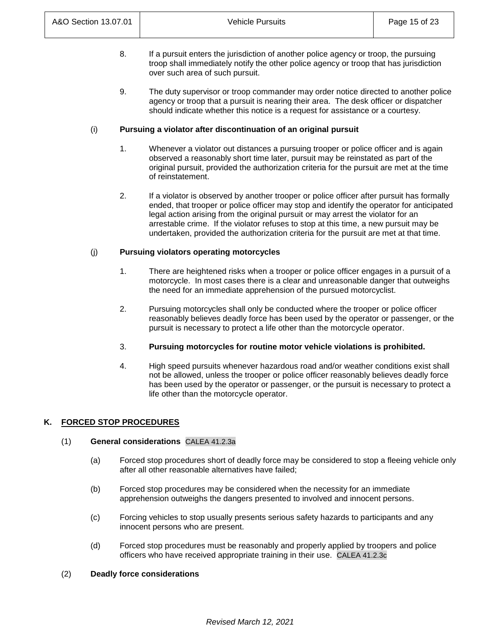- 8. If a pursuit enters the jurisdiction of another police agency or troop, the pursuing troop shall immediately notify the other police agency or troop that has jurisdiction over such area of such pursuit.
- 9. The duty supervisor or troop commander may order notice directed to another police agency or troop that a pursuit is nearing their area. The desk officer or dispatcher should indicate whether this notice is a request for assistance or a courtesy.

## (i) **Pursuing a violator after discontinuation of an original pursuit**

- 1. Whenever a violator out distances a pursuing trooper or police officer and is again observed a reasonably short time later, pursuit may be reinstated as part of the original pursuit, provided the authorization criteria for the pursuit are met at the time of reinstatement.
- 2. If a violator is observed by another trooper or police officer after pursuit has formally ended, that trooper or police officer may stop and identify the operator for anticipated legal action arising from the original pursuit or may arrest the violator for an arrestable crime. If the violator refuses to stop at this time, a new pursuit may be undertaken, provided the authorization criteria for the pursuit are met at that time.

# (j) **Pursuing violators operating motorcycles**

- 1. There are heightened risks when a trooper or police officer engages in a pursuit of a motorcycle. In most cases there is a clear and unreasonable danger that outweighs the need for an immediate apprehension of the pursued motorcyclist.
- 2. Pursuing motorcycles shall only be conducted where the trooper or police officer reasonably believes deadly force has been used by the operator or passenger, or the pursuit is necessary to protect a life other than the motorcycle operator.
- 3. **Pursuing motorcycles for routine motor vehicle violations is prohibited.**
- 4. High speed pursuits whenever hazardous road and/or weather conditions exist shall not be allowed, unless the trooper or police officer reasonably believes deadly force has been used by the operator or passenger, or the pursuit is necessary to protect a life other than the motorcycle operator.

# **K. FORCED STOP PROCEDURES**

# (1) **General considerations** CALEA 41.2.3a

- (a) Forced stop procedures short of deadly force may be considered to stop a fleeing vehicle only after all other reasonable alternatives have failed;
- (b) Forced stop procedures may be considered when the necessity for an immediate apprehension outweighs the dangers presented to involved and innocent persons.
- (c) Forcing vehicles to stop usually presents serious safety hazards to participants and any innocent persons who are present.
- (d) Forced stop procedures must be reasonably and properly applied by troopers and police officers who have received appropriate training in their use. CALEA 41.2.3c

## (2) **Deadly force considerations**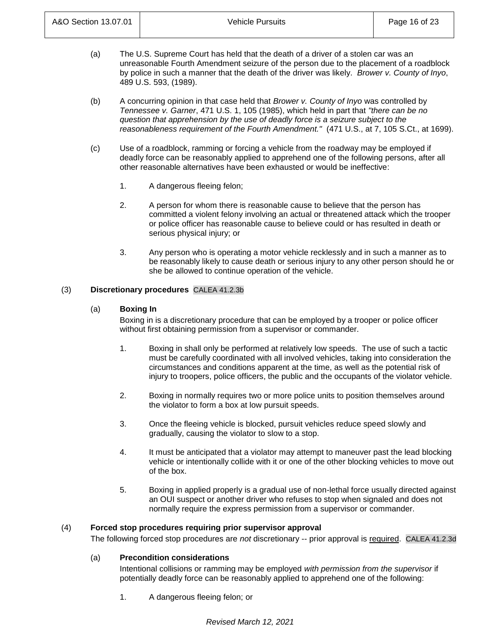- (a) The U.S. Supreme Court has held that the death of a driver of a stolen car was an unreasonable Fourth Amendment seizure of the person due to the placement of a roadblock by police in such a manner that the death of the driver was likely. *Brower v. County of Inyo*, 489 U.S. 593, (1989).
- (b) A concurring opinion in that case held that *Brower v. County of Inyo* was controlled by *Tennessee v. Garner*, 471 U.S. 1, 105 (1985), which held in part that *"there can be no question that apprehension by the use of deadly force is a seizure subject to the reasonableness requirement of the Fourth Amendment."* (471 U.S., at 7, 105 S.Ct., at 1699).
- (c) Use of a roadblock, ramming or forcing a vehicle from the roadway may be employed if deadly force can be reasonably applied to apprehend one of the following persons, after all other reasonable alternatives have been exhausted or would be ineffective:
	- 1. A dangerous fleeing felon;
	- 2. A person for whom there is reasonable cause to believe that the person has committed a violent felony involving an actual or threatened attack which the trooper or police officer has reasonable cause to believe could or has resulted in death or serious physical injury; or
	- 3. Any person who is operating a motor vehicle recklessly and in such a manner as to be reasonably likely to cause death or serious injury to any other person should he or she be allowed to continue operation of the vehicle.

# (3) **Discretionary procedures** CALEA 41.2.3b

# (a) **Boxing In**

Boxing in is a discretionary procedure that can be employed by a trooper or police officer without first obtaining permission from a supervisor or commander.

- 1. Boxing in shall only be performed at relatively low speeds. The use of such a tactic must be carefully coordinated with all involved vehicles, taking into consideration the circumstances and conditions apparent at the time, as well as the potential risk of injury to troopers, police officers, the public and the occupants of the violator vehicle.
- 2. Boxing in normally requires two or more police units to position themselves around the violator to form a box at low pursuit speeds.
- 3. Once the fleeing vehicle is blocked, pursuit vehicles reduce speed slowly and gradually, causing the violator to slow to a stop.
- 4. It must be anticipated that a violator may attempt to maneuver past the lead blocking vehicle or intentionally collide with it or one of the other blocking vehicles to move out of the box.
- 5. Boxing in applied properly is a gradual use of non-lethal force usually directed against an OUI suspect or another driver who refuses to stop when signaled and does not normally require the express permission from a supervisor or commander.

# (4) **Forced stop procedures requiring prior supervisor approval**

The following forced stop procedures are *not* discretionary -- prior approval is required. CALEA 41.2.3d

# (a) **Precondition considerations**

Intentional collisions or ramming may be employed *with permission from the supervisor* if potentially deadly force can be reasonably applied to apprehend one of the following:

1. A dangerous fleeing felon; or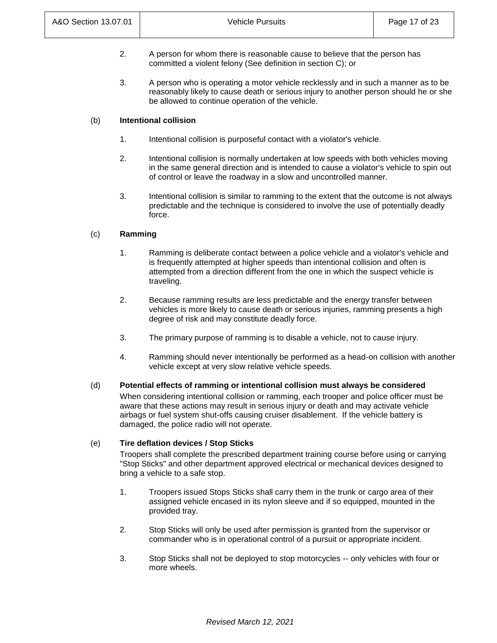- 2. A person for whom there is reasonable cause to believe that the person has committed a violent felony (See definition in section C); or
- 3. A person who is operating a motor vehicle recklessly and in such a manner as to be reasonably likely to cause death or serious injury to another person should he or she be allowed to continue operation of the vehicle.

## (b) **Intentional collision**

- 1. Intentional collision is purposeful contact with a violator's vehicle.
- 2. Intentional collision is normally undertaken at low speeds with both vehicles moving in the same general direction and is intended to cause a violator's vehicle to spin out of control or leave the roadway in a slow and uncontrolled manner.
- 3. Intentional collision is similar to ramming to the extent that the outcome is not always predictable and the technique is considered to involve the use of potentially deadly force.

## (c) **Ramming**

- 1. Ramming is deliberate contact between a police vehicle and a violator's vehicle and is frequently attempted at higher speeds than intentional collision and often is attempted from a direction different from the one in which the suspect vehicle is traveling.
- 2. Because ramming results are less predictable and the energy transfer between vehicles is more likely to cause death or serious injuries, ramming presents a high degree of risk and may constitute deadly force.
- 3. The primary purpose of ramming is to disable a vehicle, not to cause injury.
- 4. Ramming should never intentionally be performed as a head-on collision with another vehicle except at very slow relative vehicle speeds.

## (d) **Potential effects of ramming or intentional collision must always be considered**

When considering intentional collision or ramming, each trooper and police officer must be aware that these actions may result in serious injury or death and may activate vehicle airbags or fuel system shut-offs causing cruiser disablement. If the vehicle battery is damaged, the police radio will not operate.

## (e) **Tire deflation devices / Stop Sticks**

Troopers shall complete the prescribed department training course before using or carrying "Stop Sticks" and other department approved electrical or mechanical devices designed to bring a vehicle to a safe stop.

- 1. Troopers issued Stops Sticks shall carry them in the trunk or cargo area of their assigned vehicle encased in its nylon sleeve and if so equipped, mounted in the provided tray.
- 2. Stop Sticks will only be used after permission is granted from the supervisor or commander who is in operational control of a pursuit or appropriate incident.
- 3. Stop Sticks shall not be deployed to stop motorcycles -- only vehicles with four or more wheels.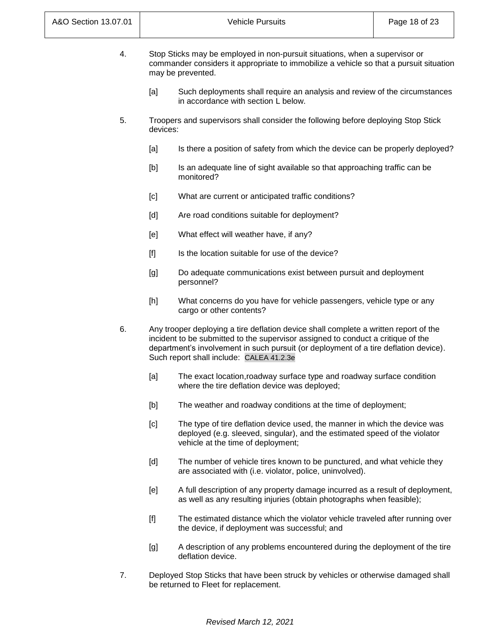| 4. | Stop Sticks may be employed in non-pursuit situations, when a supervisor or            |
|----|----------------------------------------------------------------------------------------|
|    | commander considers it appropriate to immobilize a vehicle so that a pursuit situation |
|    | may be prevented.                                                                      |

- [a] Such deployments shall require an analysis and review of the circumstances in accordance with section L below.
- 5. Troopers and supervisors shall consider the following before deploying Stop Stick devices:
	- [a] Is there a position of safety from which the device can be properly deployed?
	- [b] Is an adequate line of sight available so that approaching traffic can be monitored?
	- [c] What are current or anticipated traffic conditions?
	- [d] Are road conditions suitable for deployment?
	- [e] What effect will weather have, if any?
	- [f] Is the location suitable for use of the device?
	- [g] Do adequate communications exist between pursuit and deployment personnel?
	- [h] What concerns do you have for vehicle passengers, vehicle type or any cargo or other contents?
- 6. Any trooper deploying a tire deflation device shall complete a written report of the incident to be submitted to the supervisor assigned to conduct a critique of the department's involvement in such pursuit (or deployment of a tire deflation device). Such report shall include: CALEA 41.2.3e
	- [a] The exact location,roadway surface type and roadway surface condition where the tire deflation device was deployed;
	- [b] The weather and roadway conditions at the time of deployment;
	- [c] The type of tire deflation device used, the manner in which the device was deployed (e.g. sleeved, singular), and the estimated speed of the violator vehicle at the time of deployment;
	- [d] The number of vehicle tires known to be punctured, and what vehicle they are associated with (i.e. violator, police, uninvolved).
	- [e] A full description of any property damage incurred as a result of deployment, as well as any resulting injuries (obtain photographs when feasible);
	- [f] The estimated distance which the violator vehicle traveled after running over the device, if deployment was successful; and
	- [g] A description of any problems encountered during the deployment of the tire deflation device.
- 7. Deployed Stop Sticks that have been struck by vehicles or otherwise damaged shall be returned to Fleet for replacement.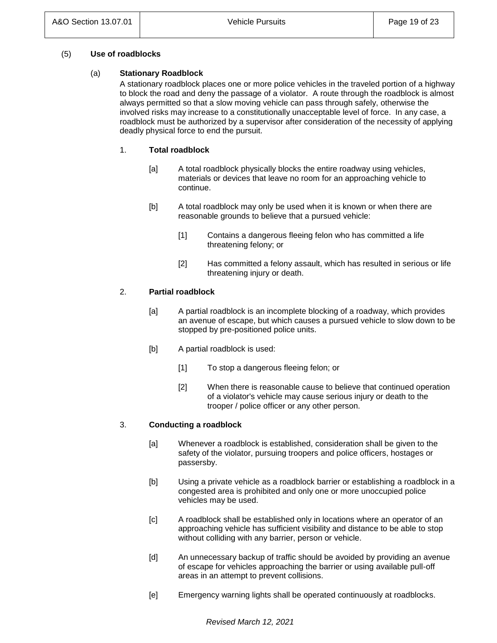## (5) **Use of roadblocks**

## (a) **Stationary Roadblock**

A stationary roadblock places one or more police vehicles in the traveled portion of a highway to block the road and deny the passage of a violator. A route through the roadblock is almost always permitted so that a slow moving vehicle can pass through safely, otherwise the involved risks may increase to a constitutionally unacceptable level of force. In any case, a roadblock must be authorized by a supervisor after consideration of the necessity of applying deadly physical force to end the pursuit.

# 1. **Total roadblock**

- [a] A total roadblock physically blocks the entire roadway using vehicles, materials or devices that leave no room for an approaching vehicle to continue.
- [b] A total roadblock may only be used when it is known or when there are reasonable grounds to believe that a pursued vehicle:
	- [1] Contains a dangerous fleeing felon who has committed a life threatening felony; or
	- [2] Has committed a felony assault, which has resulted in serious or life threatening injury or death.

# 2. **Partial roadblock**

- [a] A partial roadblock is an incomplete blocking of a roadway, which provides an avenue of escape, but which causes a pursued vehicle to slow down to be stopped by pre-positioned police units.
- [b] A partial roadblock is used:
	- [1] To stop a dangerous fleeing felon; or
	- [2] When there is reasonable cause to believe that continued operation of a violator's vehicle may cause serious injury or death to the trooper / police officer or any other person.

# 3. **Conducting a roadblock**

- [a] Whenever a roadblock is established, consideration shall be given to the safety of the violator, pursuing troopers and police officers, hostages or passersby.
- [b] Using a private vehicle as a roadblock barrier or establishing a roadblock in a congested area is prohibited and only one or more unoccupied police vehicles may be used.
- [c] A roadblock shall be established only in locations where an operator of an approaching vehicle has sufficient visibility and distance to be able to stop without colliding with any barrier, person or vehicle.
- [d] An unnecessary backup of traffic should be avoided by providing an avenue of escape for vehicles approaching the barrier or using available pull-off areas in an attempt to prevent collisions.
- [e] Emergency warning lights shall be operated continuously at roadblocks.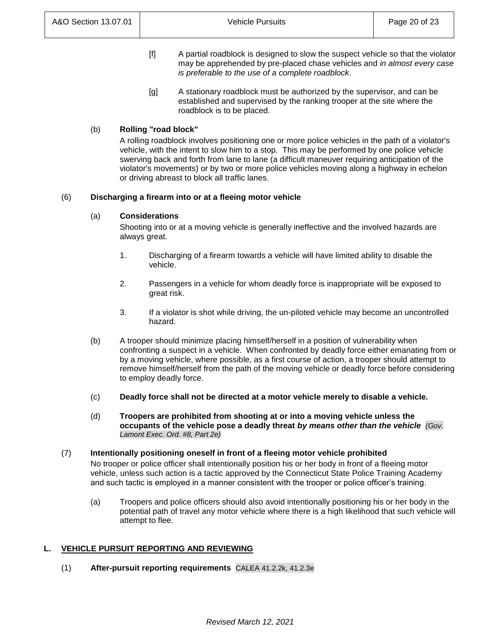- [f] A partial roadblock is designed to slow the suspect vehicle so that the violator may be apprehended by pre-placed chase vehicles and *in almost every case is preferable to the use of a complete roadblock*.
- [g] A stationary roadblock must be authorized by the supervisor, and can be established and supervised by the ranking trooper at the site where the roadblock is to be placed.

# (b) **Rolling "road block"**

A rolling roadblock involves positioning one or more police vehicles in the path of a violator's vehicle, with the intent to slow him to a stop. This may be performed by one police vehicle swerving back and forth from lane to lane (a difficult maneuver requiring anticipation of the violator's movements) or by two or more police vehicles moving along a highway in echelon or driving abreast to block all traffic lanes.

## (6) **Discharging a firearm into or at a fleeing motor vehicle**

## (a) **Considerations**

Shooting into or at a moving vehicle is generally ineffective and the involved hazards are always great.

- 1. Discharging of a firearm towards a vehicle will have limited ability to disable the vehicle.
- 2. Passengers in a vehicle for whom deadly force is inappropriate will be exposed to great risk.
- 3. If a violator is shot while driving, the un-piloted vehicle may become an uncontrolled hazard.
- (b) A trooper should minimize placing himself/herself in a position of vulnerability when confronting a suspect in a vehicle. When confronted by deadly force either emanating from or by a moving vehicle, where possible, as a first course of action, a trooper should attempt to remove himself/herself from the path of the moving vehicle or deadly force before considering to employ deadly force.
- (c) **Deadly force shall not be directed at a motor vehicle merely to disable a vehicle.**
- (d) **Troopers are prohibited from shooting at or into a moving vehicle unless the occupants of the vehicle pose a deadly threat** *by means other than the vehicle (Gov. Lamont Exec. Ord. #8, Part 2e)*

#### (7) **Intentionally positioning oneself in front of a fleeing motor vehicle prohibited** No trooper or police officer shall intentionally position his or her body in front of a fleeing motor vehicle, unless such action is a tactic approved by the Connecticut State Police Training Academy and such tactic is employed in a manner consistent with the trooper or police officer's training.

(a) Troopers and police officers should also avoid intentionally positioning his or her body in the potential path of travel any motor vehicle where there is a high likelihood that such vehicle will attempt to flee.

# **L. VEHICLE PURSUIT REPORTING AND REVIEWING**

(1) **After-pursuit reporting requirements** CALEA 41.2.2k, 41.2.3e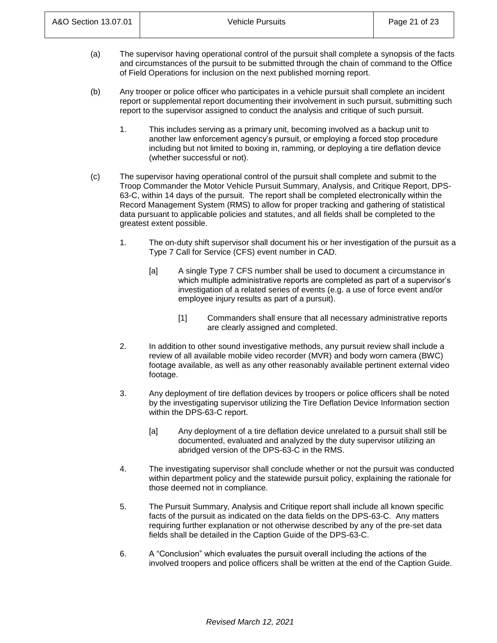- (a) The supervisor having operational control of the pursuit shall complete a synopsis of the facts and circumstances of the pursuit to be submitted through the chain of command to the Office of Field Operations for inclusion on the next published morning report.
- (b) Any trooper or police officer who participates in a vehicle pursuit shall complete an incident report or supplemental report documenting their involvement in such pursuit, submitting such report to the supervisor assigned to conduct the analysis and critique of such pursuit.
	- 1. This includes serving as a primary unit, becoming involved as a backup unit to another law enforcement agency's pursuit, or employing a forced stop procedure including but not limited to boxing in, ramming, or deploying a tire deflation device (whether successful or not).
- (c) The supervisor having operational control of the pursuit shall complete and submit to the Troop Commander the Motor Vehicle Pursuit Summary, Analysis, and Critique Report, DPS-63-C, within 14 days of the pursuit. The report shall be completed electronically within the Record Management System (RMS) to allow for proper tracking and gathering of statistical data pursuant to applicable policies and statutes, and all fields shall be completed to the greatest extent possible.
	- 1. The on-duty shift supervisor shall document his or her investigation of the pursuit as a Type 7 Call for Service (CFS) event number in CAD.
		- [a] A single Type 7 CFS number shall be used to document a circumstance in which multiple administrative reports are completed as part of a supervisor's investigation of a related series of events (e.g. a use of force event and/or employee injury results as part of a pursuit).
			- [1] Commanders shall ensure that all necessary administrative reports are clearly assigned and completed.
	- 2. In addition to other sound investigative methods, any pursuit review shall include a review of all available mobile video recorder (MVR) and body worn camera (BWC) footage available, as well as any other reasonably available pertinent external video footage.
	- 3. Any deployment of tire deflation devices by troopers or police officers shall be noted by the investigating supervisor utilizing the Tire Deflation Device Information section within the DPS-63-C report.
		- [a] Any deployment of a tire deflation device unrelated to a pursuit shall still be documented, evaluated and analyzed by the duty supervisor utilizing an abridged version of the DPS-63-C in the RMS.
	- 4. The investigating supervisor shall conclude whether or not the pursuit was conducted within department policy and the statewide pursuit policy, explaining the rationale for those deemed not in compliance.
	- 5. The Pursuit Summary, Analysis and Critique report shall include all known specific facts of the pursuit as indicated on the data fields on the DPS-63-C. Any matters requiring further explanation or not otherwise described by any of the pre-set data fields shall be detailed in the Caption Guide of the DPS-63-C.
	- 6. A "Conclusion" which evaluates the pursuit overall including the actions of the involved troopers and police officers shall be written at the end of the Caption Guide.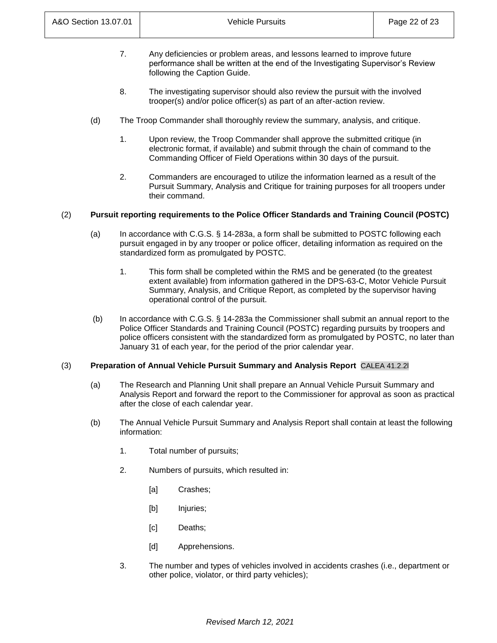- 7. Any deficiencies or problem areas, and lessons learned to improve future performance shall be written at the end of the Investigating Supervisor's Review following the Caption Guide.
- 8. The investigating supervisor should also review the pursuit with the involved trooper(s) and/or police officer(s) as part of an after-action review.
- (d) The Troop Commander shall thoroughly review the summary, analysis, and critique.
	- 1. Upon review, the Troop Commander shall approve the submitted critique (in electronic format, if available) and submit through the chain of command to the Commanding Officer of Field Operations within 30 days of the pursuit.
	- 2. Commanders are encouraged to utilize the information learned as a result of the Pursuit Summary, Analysis and Critique for training purposes for all troopers under their command.

# (2) **Pursuit reporting requirements to the Police Officer Standards and Training Council (POSTC)**

- (a) In accordance with C.G.S. § 14-283a, a form shall be submitted to POSTC following each pursuit engaged in by any trooper or police officer, detailing information as required on the standardized form as promulgated by POSTC.
	- 1. This form shall be completed within the RMS and be generated (to the greatest extent available) from information gathered in the DPS-63-C, Motor Vehicle Pursuit Summary, Analysis, and Critique Report, as completed by the supervisor having operational control of the pursuit.
- (b) In accordance with C.G.S. § 14-283a the Commissioner shall submit an annual report to the Police Officer Standards and Training Council (POSTC) regarding pursuits by troopers and police officers consistent with the standardized form as promulgated by POSTC, no later than January 31 of each year, for the period of the prior calendar year.

# (3) **Preparation of Annual Vehicle Pursuit Summary and Analysis Report** CALEA 41.2.2l

- (a) The Research and Planning Unit shall prepare an Annual Vehicle Pursuit Summary and Analysis Report and forward the report to the Commissioner for approval as soon as practical after the close of each calendar year.
- (b) The Annual Vehicle Pursuit Summary and Analysis Report shall contain at least the following information:
	- 1. Total number of pursuits;
	- 2. Numbers of pursuits, which resulted in:
		- [a] Crashes;
		- [b] Injuries;
		- [c] Deaths;
		- [d] Apprehensions.
	- 3. The number and types of vehicles involved in accidents crashes (i.e., department or other police, violator, or third party vehicles);